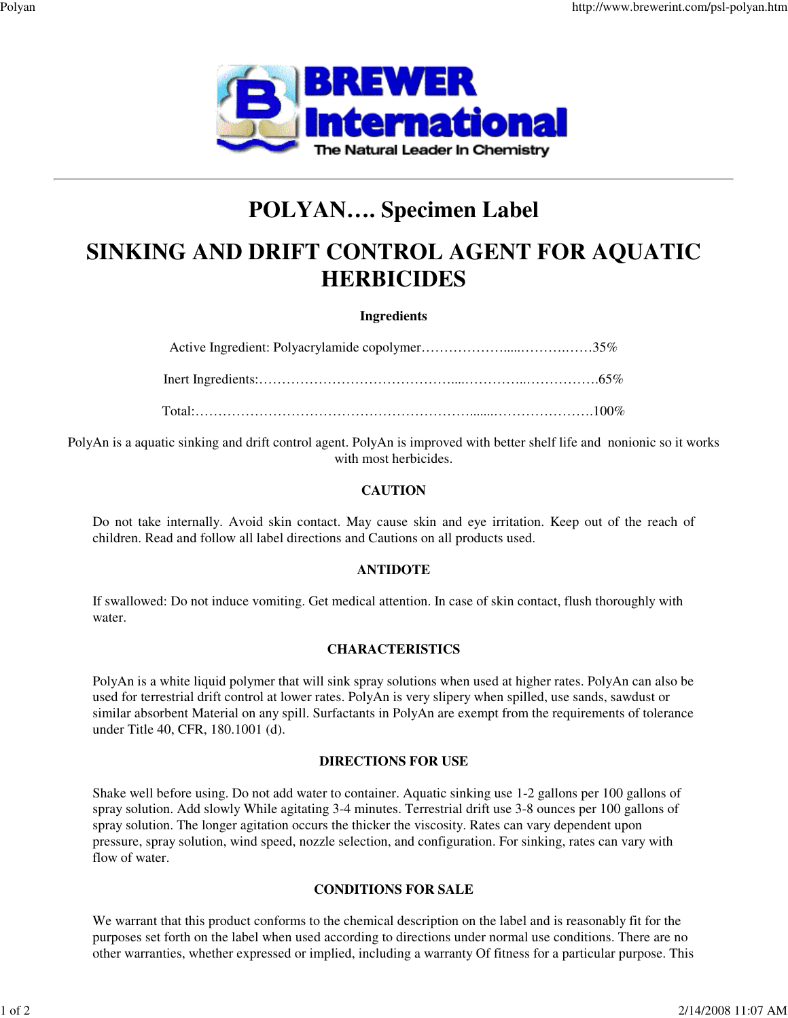

# **POLYAN…. Specimen Label**

# **SINKING AND DRIFT CONTROL AGENT FOR AQUATIC HERBICIDES**

#### **Ingredients**

Active Ingredient: Polyacrylamide copolymer……………….....……….……35%

Inert Ingredients:……………………………………....…………..…………….65%

Total:…………………………………………………….......………………….100%

PolyAn is a aquatic sinking and drift control agent. PolyAn is improved with better shelf life and nonionic so it works with most herbicides.

#### **CAUTION**

Do not take internally. Avoid skin contact. May cause skin and eye irritation. Keep out of the reach of children. Read and follow all label directions and Cautions on all products used.

#### **ANTIDOTE**

If swallowed: Do not induce vomiting. Get medical attention. In case of skin contact, flush thoroughly with water.

#### **CHARACTERISTICS**

PolyAn is a white liquid polymer that will sink spray solutions when used at higher rates. PolyAn can also be used for terrestrial drift control at lower rates. PolyAn is very slipery when spilled, use sands, sawdust or similar absorbent Material on any spill. Surfactants in PolyAn are exempt from the requirements of tolerance under Title 40, CFR, 180.1001 (d).

#### **DIRECTIONS FOR USE**

Shake well before using. Do not add water to container. Aquatic sinking use 1-2 gallons per 100 gallons of spray solution. Add slowly While agitating 3-4 minutes. Terrestrial drift use 3-8 ounces per 100 gallons of spray solution. The longer agitation occurs the thicker the viscosity. Rates can vary dependent upon pressure, spray solution, wind speed, nozzle selection, and configuration. For sinking, rates can vary with flow of water.

### **CONDITIONS FOR SALE**

We warrant that this product conforms to the chemical description on the label and is reasonably fit for the purposes set forth on the label when used according to directions under normal use conditions. There are no other warranties, whether expressed or implied, including a warranty Of fitness for a particular purpose. This